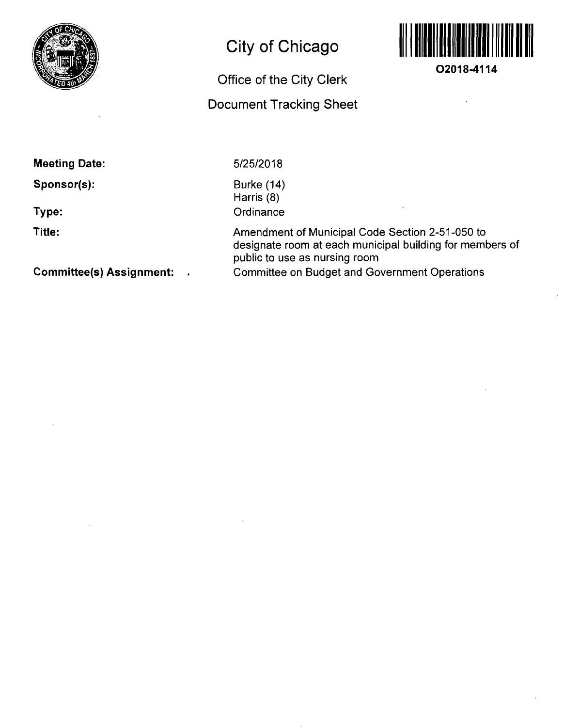

# **City of Chicago**

# **Office of the City Clerk**

## **Document Tracking Sheet**



**02018-4114** 

**Meeting Date:** 

**Sponsor(s):** 

**Type:** 

**Title:** 

5/25/2018

Burke (14) Harris (8) **Ordinance** 

Amendment of Municipal Code Section 2-51-050 to designate room at each municipal building for members of public to use as nursing room Committee on Budget and Government Operations

**Committee(s) Assignment:**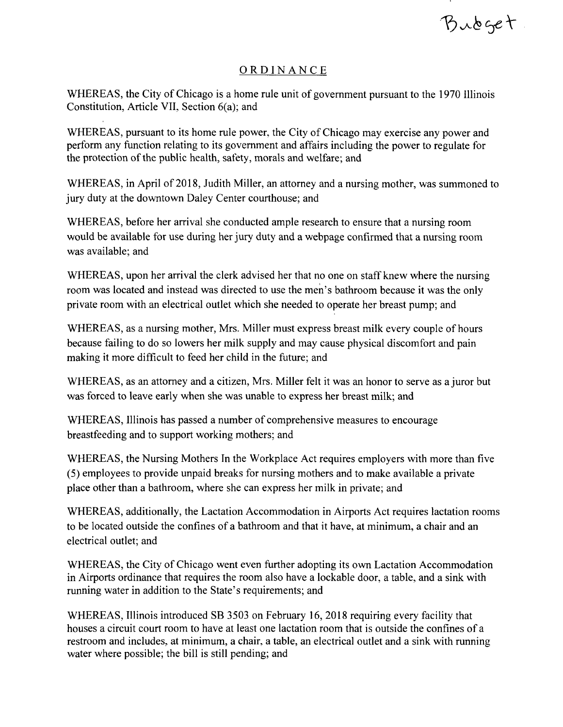Bubget

#### ORDINANC E

WHEREAS, the City of Chicago is a home rule unit of government pursuant to the 1970 Illinois Constitution, Article VII, Section 6(a); and

WHEREAS, pursuant to its home rule power, the City of Chicago may exercise any power and perform any function relating to its government and affairs including the power to regulate for the protection of the public health, safety, morals and welfare; and

WHEREAS, in April of 2018, Judith Miller, an attorney and a nursing mother, was summoned to jury duty at the downtown Daley Center courthouse; and

WHEREAS, before her arrival she conducted ample research to ensure that a nursing room would be available for use during her jury duty and a webpage confirmed that a nursing room was available; and

WHEREAS, upon her arrival the clerk advised her that no one on staff knew where the nursing room was located and instead was directed to use the men's bathroom because it was the only private room with an electrical outlet which she needed to operate her breast pump; and

WHEREAS, as a nursing mother, Mrs. Miller must express breast milk every couple of hours because failing to do so lowers her milk supply and may cause physical discomfort and pain making it more difficult to feed her child in the future; and

WHEREAS, as an attorney and a citizen, Mrs. Miller felt it was an honor to serve as a juror but was forced to leave early when she was unable to express her breast milk; and

WHEREAS, Illinois has passed a number of comprehensive measures to encourage breastfeeding and to support working mothers; and

WHEREAS, the Nursing Mothers In the Workplace Act requires employers with more than five (5) employees to provide unpaid breaks for nursing mothers and to make available a private place other than a bathroom, where she can express her milk in private; and

WHEREAS, additionally, the Lactation Accommodation in Airports Act requires lactation rooms to be located outside the confines of a bathroom and that it have, at minimum, a chair and an electrical outlet; and

WHEREAS, the City of Chicago went even further adopting its own Lactation Accommodation in Airports ordinance that requires the room also have a lockable door, a table, and a sink with running water in addition to the State's requirements; and

WHEREAS, Illinois introduced SB 3503 on February 16, 2018 requiring every facility that houses a circuit court room to have at least one lactation room that is outside the confines of a restroom and includes, at minimum, a chair, a table, an electrical outlet and a sink with running water where possible; the bill is still pending; and